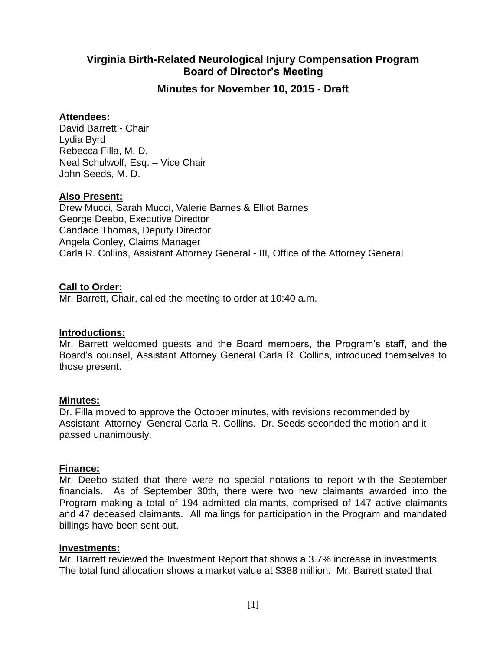# **Virginia Birth-Related Neurological Injury Compensation Program Board of Director's Meeting**

**Minutes for November 10, 2015 - Draft**

### **Attendees:**

David Barrett - Chair Lydia Byrd Rebecca Filla, M. D. Neal Schulwolf, Esq. – Vice Chair John Seeds, M. D.

### **Also Present:**

Drew Mucci, Sarah Mucci, Valerie Barnes & Elliot Barnes George Deebo, Executive Director Candace Thomas, Deputy Director Angela Conley, Claims Manager Carla R. Collins, Assistant Attorney General - III, Office of the Attorney General

## **Call to Order:**

Mr. Barrett, Chair, called the meeting to order at 10:40 a.m.

### **Introductions:**

Mr. Barrett welcomed guests and the Board members, the Program's staff, and the Board's counsel, Assistant Attorney General Carla R. Collins, introduced themselves to those present.

## **Minutes:**

Dr. Filla moved to approve the October minutes, with revisions recommended by Assistant Attorney General Carla R. Collins. Dr. Seeds seconded the motion and it passed unanimously.

### **Finance:**

Mr. Deebo stated that there were no special notations to report with the September financials. As of September 30th, there were two new claimants awarded into the Program making a total of 194 admitted claimants, comprised of 147 active claimants and 47 deceased claimants. All mailings for participation in the Program and mandated billings have been sent out.

### **Investments:**

Mr. Barrett reviewed the Investment Report that shows a 3.7% increase in investments. The total fund allocation shows a market value at \$388 million. Mr. Barrett stated that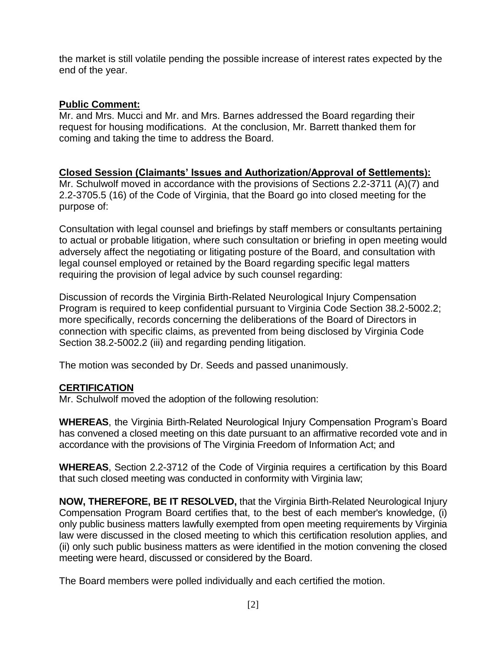the market is still volatile pending the possible increase of interest rates expected by the end of the year.

# **Public Comment:**

Mr. and Mrs. Mucci and Mr. and Mrs. Barnes addressed the Board regarding their request for housing modifications. At the conclusion, Mr. Barrett thanked them for coming and taking the time to address the Board.

### **Closed Session (Claimants' Issues and Authorization/Approval of Settlements):** Mr. Schulwolf moved in accordance with the provisions of Sections 2.2-3711 (A)(7) and 2.2-3705.5 (16) of the Code of Virginia, that the Board go into closed meeting for the purpose of:

Consultation with legal counsel and briefings by staff members or consultants pertaining to actual or probable litigation, where such consultation or briefing in open meeting would adversely affect the negotiating or litigating posture of the Board, and consultation with legal counsel employed or retained by the Board regarding specific legal matters requiring the provision of legal advice by such counsel regarding:

Discussion of records the Virginia Birth-Related Neurological Injury Compensation Program is required to keep confidential pursuant to Virginia Code Section 38.2-5002.2; more specifically, records concerning the deliberations of the Board of Directors in connection with specific claims, as prevented from being disclosed by Virginia Code Section 38.2-5002.2 (iii) and regarding pending litigation.

The motion was seconded by Dr. Seeds and passed unanimously.

# **CERTIFICATION**

Mr. Schulwolf moved the adoption of the following resolution:

**WHEREAS**, the Virginia Birth-Related Neurological Injury Compensation Program's Board has convened a closed meeting on this date pursuant to an affirmative recorded vote and in accordance with the provisions of The Virginia Freedom of Information Act; and

**WHEREAS**, Section 2.2-3712 of the Code of Virginia requires a certification by this Board that such closed meeting was conducted in conformity with Virginia law;

**NOW, THEREFORE, BE IT RESOLVED,** that the Virginia Birth-Related Neurological Injury Compensation Program Board certifies that, to the best of each member's knowledge, (i) only public business matters lawfully exempted from open meeting requirements by Virginia law were discussed in the closed meeting to which this certification resolution applies, and (ii) only such public business matters as were identified in the motion convening the closed meeting were heard, discussed or considered by the Board.

The Board members were polled individually and each certified the motion.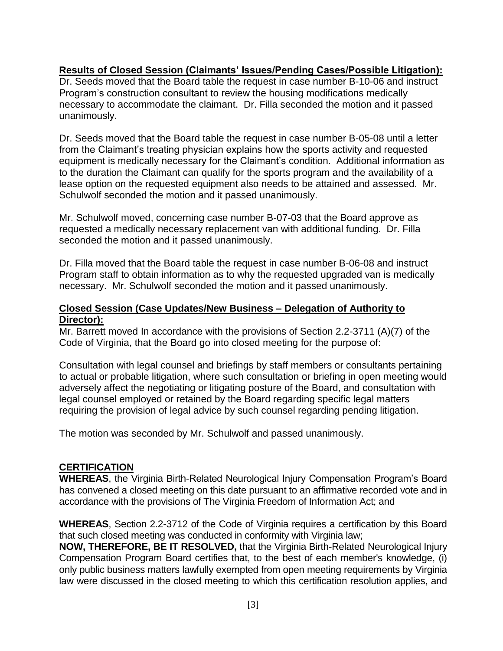### **Results of Closed Session (Claimants' Issues/Pending Cases/Possible Litigation):**

Dr. Seeds moved that the Board table the request in case number B-10-06 and instruct Program's construction consultant to review the housing modifications medically necessary to accommodate the claimant. Dr. Filla seconded the motion and it passed unanimously.

Dr. Seeds moved that the Board table the request in case number B-05-08 until a letter from the Claimant's treating physician explains how the sports activity and requested equipment is medically necessary for the Claimant's condition. Additional information as to the duration the Claimant can qualify for the sports program and the availability of a lease option on the requested equipment also needs to be attained and assessed. Mr. Schulwolf seconded the motion and it passed unanimously.

Mr. Schulwolf moved, concerning case number B-07-03 that the Board approve as requested a medically necessary replacement van with additional funding. Dr. Filla seconded the motion and it passed unanimously.

Dr. Filla moved that the Board table the request in case number B-06-08 and instruct Program staff to obtain information as to why the requested upgraded van is medically necessary. Mr. Schulwolf seconded the motion and it passed unanimously.

### **Closed Session (Case Updates/New Business – Delegation of Authority to Director):**

Mr. Barrett moved In accordance with the provisions of Section 2.2-3711 (A)(7) of the Code of Virginia, that the Board go into closed meeting for the purpose of:

Consultation with legal counsel and briefings by staff members or consultants pertaining to actual or probable litigation, where such consultation or briefing in open meeting would adversely affect the negotiating or litigating posture of the Board, and consultation with legal counsel employed or retained by the Board regarding specific legal matters requiring the provision of legal advice by such counsel regarding pending litigation.

The motion was seconded by Mr. Schulwolf and passed unanimously.

### **CERTIFICATION**

**WHEREAS**, the Virginia Birth-Related Neurological Injury Compensation Program's Board has convened a closed meeting on this date pursuant to an affirmative recorded vote and in accordance with the provisions of The Virginia Freedom of Information Act; and

**WHEREAS**, Section 2.2-3712 of the Code of Virginia requires a certification by this Board that such closed meeting was conducted in conformity with Virginia law;

**NOW, THEREFORE, BE IT RESOLVED,** that the Virginia Birth-Related Neurological Injury Compensation Program Board certifies that, to the best of each member's knowledge, (i) only public business matters lawfully exempted from open meeting requirements by Virginia law were discussed in the closed meeting to which this certification resolution applies, and